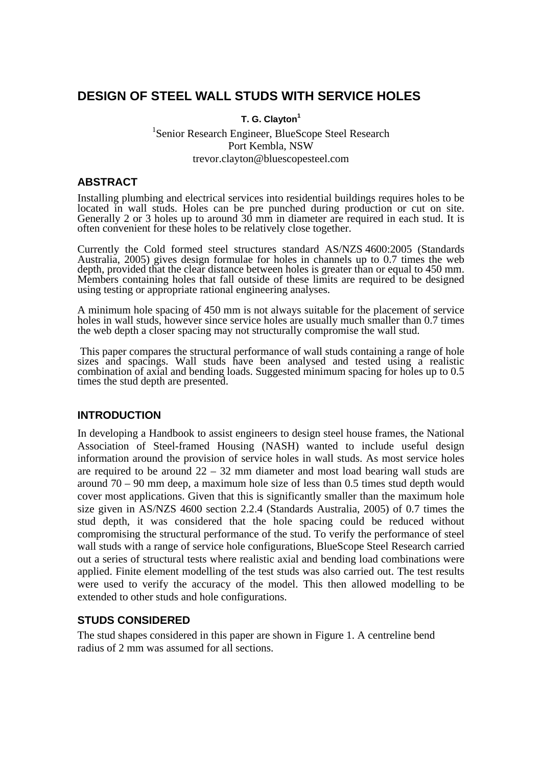# **DESIGN OF STEEL WALL STUDS WITH SERVICE HOLES**

### **T. G. Clayton<sup>1</sup>**

# <sup>1</sup>Senior Research Engineer, BlueScope Steel Research Port Kembla, NSW trevor.clayton@bluescopesteel.com

### **ABSTRACT**

Installing plumbing and electrical services into residential buildings requires holes to be located in wall studs. Holes can be pre punched during production or cut on site. Generally 2 or 3 holes up to around 30 mm in diameter are required in each stud. It is often convenient for these holes to be relatively close together.

Currently the Cold formed steel structures standard AS/NZS 4600:2005 (Standards Australia, 2005) gives design formulae for holes in channels up to 0.7 times the web depth, provided that the clear distance between holes is greater than or equal to 450 mm. Members containing holes that fall outside of these limits are required to be designed using testing or appropriate rational engineering analyses.

A minimum hole spacing of 450 mm is not always suitable for the placement of service holes in wall studs, however since service holes are usually much smaller than 0.7 times the web depth a closer spacing may not structurally compromise the wall stud.

 This paper compares the structural performance of wall studs containing a range of hole sizes and spacings. Wall studs have been analysed and tested using a realistic combination of axial and bending loads. Suggested minimum spacing for holes up to 0.5 times the stud depth are presented.

# **INTRODUCTION**

In developing a Handbook to assist engineers to design steel house frames, the National Association of Steel-framed Housing (NASH) wanted to include useful design information around the provision of service holes in wall studs. As most service holes are required to be around  $22 - 32$  mm diameter and most load bearing wall studs are around  $70 - 90$  mm deep, a maximum hole size of less than 0.5 times stud depth would cover most applications. Given that this is significantly smaller than the maximum hole size given in AS/NZS 4600 section 2.2.4 (Standards Australia, 2005) of 0.7 times the stud depth, it was considered that the hole spacing could be reduced without compromising the structural performance of the stud. To verify the performance of steel wall studs with a range of service hole configurations, BlueScope Steel Research carried out a series of structural tests where realistic axial and bending load combinations were applied. Finite element modelling of the test studs was also carried out. The test results were used to verify the accuracy of the model. This then allowed modelling to be extended to other studs and hole configurations.

# **STUDS CONSIDERED**

The stud shapes considered in this paper are shown in Figure 1. A centreline bend radius of 2 mm was assumed for all sections.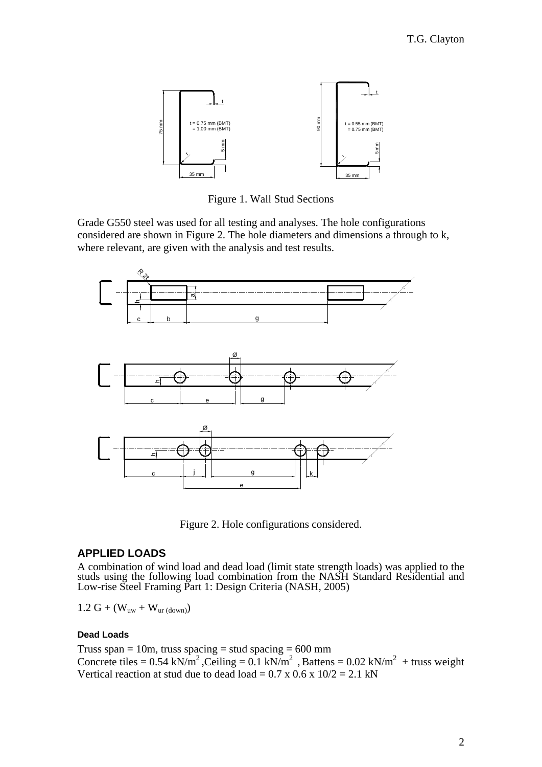

Figure 1. Wall Stud Sections

Grade G550 steel was used for all testing and analyses. The hole configurations considered are shown in Figure 2. The hole diameters and dimensions a through to k, where relevant, are given with the analysis and test results.



Figure 2. Hole configurations considered.

# **APPLIED LOADS**

A combination of wind load and dead load (limit state strength loads) was applied to the studs using the following load combination from the NASH Standard Residential and Low-rise Steel Framing Part 1: Design Criteria (NASH, 2005)

 $1.2 \text{ G} + (\text{W}_{uw} + \text{W}_{ur (down)})$ 

#### **Dead Loads**

Truss span = 10m, truss spacing = stud spacing =  $600$  mm Concrete tiles =  $0.54 \text{ kN/m}^2$ , Ceiling =  $0.1 \text{ kN/m}^2$ , Battens =  $0.02 \text{ kN/m}^2$  + truss weight Vertical reaction at stud due to dead load =  $0.7 \times 0.6 \times 10/2 = 2.1 \text{ kN}$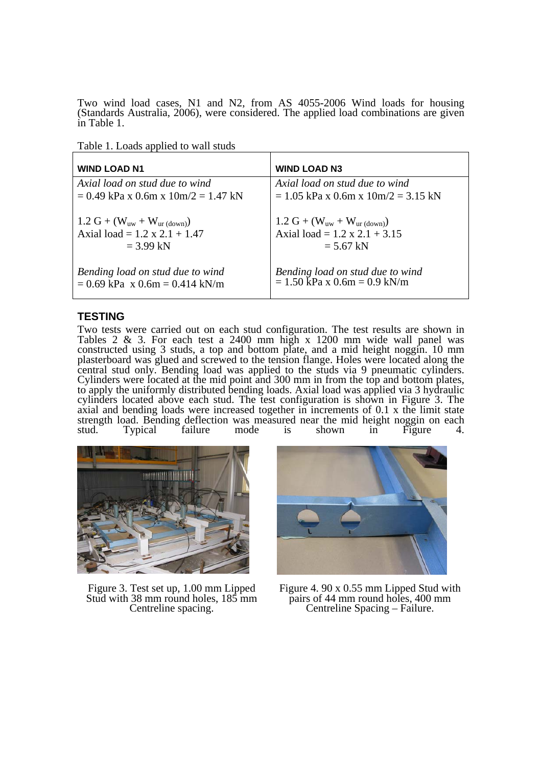Two wind load cases, N1 and N2, from AS 4055-2006 Wind loads for housing (Standards Australia, 2006), were considered. The applied load combinations are given in Table 1.

Table 1. Loads applied to wall studs

| <b>WIND LOAD N1</b>                   | <b>WIND LOAD N3</b>                                         |
|---------------------------------------|-------------------------------------------------------------|
| Axial load on stud due to wind        | Axial load on stud due to wind                              |
| $= 0.49$ kPa x 0.6m x 10m/2 = 1.47 kN | $= 1.05$ kPa x 0.6m x $10m/2 = 3.15$ kN                     |
| $1.2 G + (W_{uw} + W_{ur(down)})$     | 1.2 G + $(W_{uw} + W_{ur(down)})$                           |
| Axial load = $1.2 \times 2.1 + 1.47$  | Axial load = $1.2 \times 2.1 + 3.15$                        |
| $= 3.99$ kN                           | $= 5.67$ kN                                                 |
| Bending load on stud due to wind      | Bending load on stud due to wind                            |
| $= 0.69$ kPa x 0.6m = 0.414 kN/m      | $= 1.50 \text{ kPa} \times 0.6 \text{m} = 0.9 \text{ kN/m}$ |

### **TESTING**

Two tests were carried out on each stud configuration. The test results are shown in Tables 2 & 3. For each test a 2400 mm high x 1200 mm wide wall panel was constructed using 3 studs, a top and bottom plate, and a mid height noggin. 10 mm plasterboard was glued and screwed to the tension flange. Holes were located along the central stud only. Bending load was applied to the studs via 9 pneumatic cylinders. Cylinders were located at the mid point and 300 mm in from the top and bottom plates, to apply the uniformly distributed bending loads. Axial load was applied via 3 hydraulic cylinders located above each stud. The test configuration is shown in Figure 3. The axial and bending loads were increased together in increments of 0.1 x the limit state strength load. Bending deflection was measured near the mid height noggin on each stud. Typical failure mode is shown in Figure 4. stud. Typical failure mode is shown in Figure 4.



Figure 3. Test set up, 1.00 mm Lipped Stud with 38 mm round holes, 185 mm Centreline spacing.



Figure 4. 90 x 0.55 mm Lipped Stud with pairs of 44 mm round holes, 400 mm Centreline Spacing – Failure.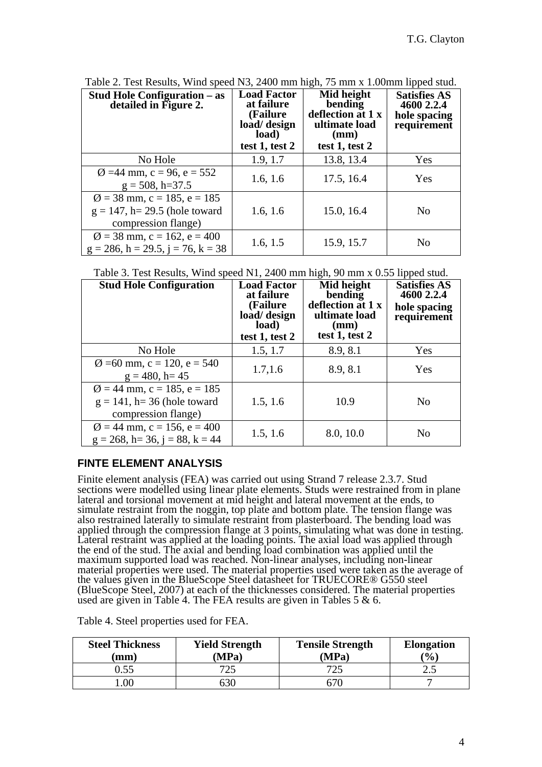| <b>Stud Hole Configuration – as</b><br>detailed in Figure 2.                                       | <b>Load Factor</b><br>at failure<br>(Failure)<br>load/ design<br>load)<br>test 1, test 2 | Mid height<br>bending<br>deflection at 1 x<br>ultimate load<br>(mm)<br>test 1, test 2 | <b>Satisfies AS</b><br>4600 2.2.4<br>hole spacing<br>requirement |
|----------------------------------------------------------------------------------------------------|------------------------------------------------------------------------------------------|---------------------------------------------------------------------------------------|------------------------------------------------------------------|
| No Hole                                                                                            | 1.9, 1.7                                                                                 | 13.8, 13.4                                                                            | Yes                                                              |
| $\varnothing$ =44 mm, c = 96, e = 552<br>$g = 508$ , h=37.5                                        | 1.6, 1.6                                                                                 | 17.5, 16.4                                                                            | Yes                                                              |
| $\varnothing$ = 38 mm, c = 185, e = 185<br>$g = 147$ , h= 29.5 (hole toward<br>compression flange) | 1.6, 1.6                                                                                 | 15.0, 16.4                                                                            | No                                                               |
| $\varnothing$ = 38 mm, c = 162, e = 400<br>$g = 286$ , h = 29.5, j = 76, k = 38                    | 1.6, 1.5                                                                                 | 15.9, 15.7                                                                            | No                                                               |

Table 2. Test Results, Wind speed N3, 2400 mm high, 75 mm x 1.00mm lipped stud.

Table 3. Test Results, Wind speed N1, 2400 mm high, 90 mm x 0.55 lipped stud.

| <b>Stud Hole Configuration</b>                                                                   | <b>Load Factor</b><br>at failure<br>(Failure)<br>load/ design<br>load)<br>test 1, test 2 | Mid height<br>bending<br>deflection at 1 x<br>ultimate load<br>(mm)<br>test $1$ , test $2$ | <b>Satisfies AS</b><br>4600 2.2.4<br>hole spacing<br>requirement |
|--------------------------------------------------------------------------------------------------|------------------------------------------------------------------------------------------|--------------------------------------------------------------------------------------------|------------------------------------------------------------------|
| No Hole                                                                                          | 1.5, 1.7                                                                                 | 8.9, 8.1                                                                                   | Yes                                                              |
| $\varnothing$ =60 mm, c = 120, e = 540<br>$g = 480$ , h= 45                                      | 1.7, 1.6                                                                                 | 8.9, 8.1                                                                                   | Yes                                                              |
| $\varnothing$ = 44 mm, c = 185, e = 185<br>$g = 141$ , h= 36 (hole toward<br>compression flange) | 1.5, 1.6                                                                                 | 10.9                                                                                       | No                                                               |
| $\varnothing$ = 44 mm, c = 156, e = 400<br>$g = 268$ , h= 36, j = 88, k = 44                     | 1.5, 1.6                                                                                 | 8.0, 10.0                                                                                  | No                                                               |

# **FINTE ELEMENT ANALYSIS**

Finite element analysis (FEA) was carried out using Strand 7 release 2.3.7. Stud sections were modelled using linear plate elements. Studs were restrained from in plane lateral and torsional movement at mid height and lateral movement at the ends, to simulate restraint from the noggin, top plate and bottom plate. The tension flange was also restrained laterally to simulate restraint from plasterboard. The bending load was applied through the compression flange at 3 points, simulating what was done in testing. Lateral restraint was applied at the loading points. The axial load was applied through the end of the stud. The axial and bending load combination was applied until the maximum supported load was reached. Non-linear analyses, including non-linear material properties were used. The material properties used were taken as the average of the values given in the BlueScope Steel datasheet for TRUECORE® G550 steel (BlueScope Steel, 2007) at each of the thicknesses considered. The material properties used are given in Table 4. The FEA results are given in Tables 5 & 6.

Table 4. Steel properties used for FEA.

| <b>Steel Thickness</b><br>$(\mathbf{mm})$ | <b>Yield Strength</b><br>'MPa) | <b>Tensile Strength</b><br>(MPa) | <b>Elongation</b><br>$\frac{1}{2}$ |
|-------------------------------------------|--------------------------------|----------------------------------|------------------------------------|
| 0.55                                      | フつく                            |                                  | ر                                  |
| $00\,$                                    | า.วีไ                          |                                  |                                    |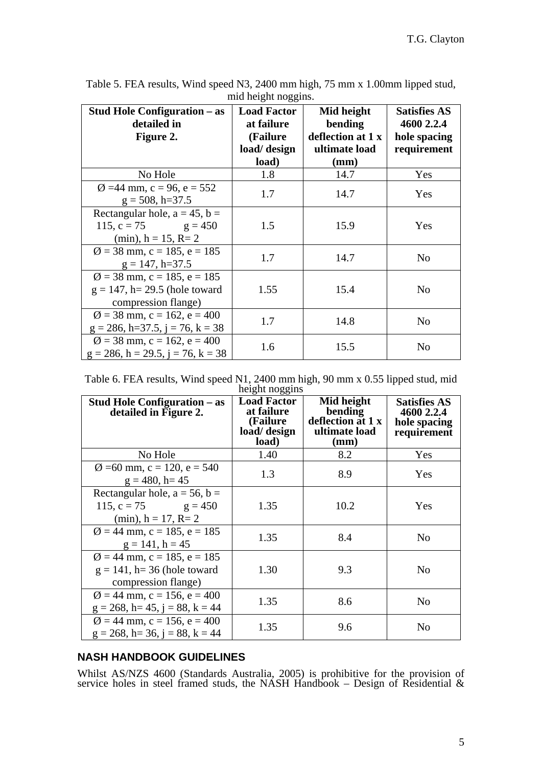| <b>Stud Hole Configuration – as</b><br>detailed in<br>Figure 2.                                    | <b>Load Factor</b><br>at failure<br>(Failure<br>load/ design | Mid height<br>bending<br>deflection at 1 x<br>ultimate load | <b>Satisfies AS</b><br>4600 2.2.4<br>hole spacing<br>requirement |
|----------------------------------------------------------------------------------------------------|--------------------------------------------------------------|-------------------------------------------------------------|------------------------------------------------------------------|
|                                                                                                    | load)                                                        | (mm)                                                        |                                                                  |
| No Hole                                                                                            | 1.8                                                          | 14.7                                                        | Yes                                                              |
| $\varnothing$ =44 mm, c = 96, e = 552<br>$g = 508$ , h=37.5                                        | 1.7                                                          | 14.7                                                        | Yes                                                              |
| Rectangular hole, $a = 45$ , $b =$<br>115, c = 75 $g = 450$<br>(min), $h = 15$ , $R = 2$           | 1.5                                                          | 15.9                                                        | Yes                                                              |
| $\varnothing$ = 38 mm, c = 185, e = 185<br>$g = 147$ , h=37.5                                      | 1.7                                                          | 14.7                                                        | N <sub>0</sub>                                                   |
| $\varnothing$ = 38 mm, c = 185, e = 185<br>$g = 147$ , h= 29.5 (hole toward<br>compression flange) | 1.55                                                         | 15.4                                                        | N <sub>0</sub>                                                   |
| $\varnothing$ = 38 mm, c = 162, e = 400<br>$g = 286$ , h=37.5, j = 76, k = 38                      | 1.7                                                          | 14.8                                                        | N <sub>0</sub>                                                   |
| $\varnothing$ = 38 mm, c = 162, e = 400<br>$g = 286$ , h = 29.5, j = 76, k = 38                    | 1.6                                                          | 15.5                                                        | N <sub>0</sub>                                                   |

Table 5. FEA results, Wind speed N3, 2400 mm high, 75 mm x 1.00mm lipped stud, mid height noggins.

Table 6. FEA results, Wind speed N1, 2400 mm high, 90 mm x 0.55 lipped stud, mid height noggins

| <b>Stud Hole Configuration – as</b><br>detailed in Figure 2.                                     | -- -- - 00<br><b>Load Factor</b><br>at failure<br>(Failure<br>load/ design<br>load) | Mid height<br>bending<br>deflection at 1 x<br>ultimate load<br>(mm) | <b>Satisfies AS</b><br>4600 2.2.4<br>hole spacing<br>requirement |
|--------------------------------------------------------------------------------------------------|-------------------------------------------------------------------------------------|---------------------------------------------------------------------|------------------------------------------------------------------|
| No Hole                                                                                          | 1.40                                                                                | 8.2                                                                 | Yes                                                              |
| $\varnothing$ =60 mm, c = 120, e = 540<br>$g = 480$ , h= 45                                      | 1.3                                                                                 | 8.9                                                                 | Yes                                                              |
| Rectangular hole, $a = 56$ , $b =$<br>115, $c = 75$ $g = 450$<br>$(min), h = 17, R=2$            | 1.35                                                                                | 10.2                                                                | Yes                                                              |
| $\varnothing$ = 44 mm, c = 185, e = 185<br>$g = 141$ , h = 45                                    | 1.35                                                                                | 8.4                                                                 | No                                                               |
| $\varnothing$ = 44 mm, c = 185, e = 185<br>$g = 141$ , h= 36 (hole toward<br>compression flange) | 1.30                                                                                | 9.3                                                                 | No                                                               |
| $\varnothing$ = 44 mm, c = 156, e = 400<br>$g = 268$ , h = 45, j = 88, k = 44                    | 1.35                                                                                | 8.6                                                                 | No                                                               |
| $\varnothing$ = 44 mm, c = 156, e = 400<br>$g = 268$ , h= 36, j = 88, k = 44                     | 1.35                                                                                | 9.6                                                                 | No                                                               |

# **NASH HANDBOOK GUIDELINES**

Whilst AS/NZS 4600 (Standards Australia, 2005) is prohibitive for the provision of service holes in steel framed studs, the NASH Handbook – Design of Residential  $\&$